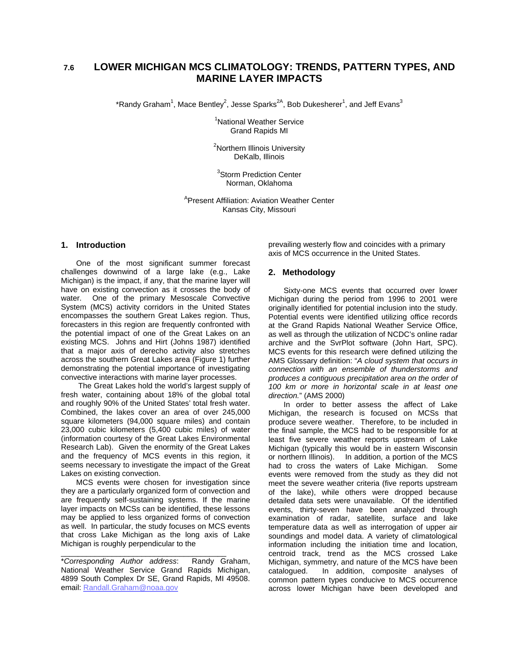# **7.6 LOWER MICHIGAN MCS CLIMATOLOGY: TRENDS, PATTERN TYPES, AND MARINE LAYER IMPACTS**

\*Randy Graham<sup>1</sup>, Mace Bentley<sup>2</sup>, Jesse Sparks<sup>2A</sup>, Bob Dukesherer<sup>1</sup>, and Jeff Evans<sup>3</sup>

<sup>1</sup>National Weather Service Grand Rapids MI

<sup>2</sup>Northern Illinois University DeKalb, Illinois

<sup>3</sup>Storm Prediction Center Norman, Oklahoma

A Present Affiliation: Aviation Weather Center Kansas City, Missouri

#### **1. Introduction**

One of the most significant summer forecast challenges downwind of a large lake (e.g., Lake Michigan) is the impact, if any, that the marine layer will have on existing convection as it crosses the body of water. One of the primary Mesoscale Convective System (MCS) activity corridors in the United States encompasses the southern Great Lakes region. Thus, forecasters in this region are frequently confronted with the potential impact of one of the Great Lakes on an existing MCS. Johns and Hirt (Johns 1987) identified that a major axis of derecho activity also stretches across the southern Great Lakes area (Figure 1) further demonstrating the potential importance of investigating convective interactions with marine layer processes.

 The Great Lakes hold the world's largest supply of fresh water, containing about 18% of the global total and roughly 90% of the United States' total fresh water. Combined, the lakes cover an area of over 245,000 square kilometers (94,000 square miles) and contain 23,000 cubic kilometers (5,400 cubic miles) of water (information courtesy of the Great Lakes Environmental Research Lab). Given the enormity of the Great Lakes and the frequency of MCS events in this region, it seems necessary to investigate the impact of the Great Lakes on existing convection.

MCS events were chosen for investigation since they are a particularly organized form of convection and are frequently self-sustaining systems. If the marine layer impacts on MCSs can be identified, these lessons may be applied to less organized forms of convection as well. In particular, the study focuses on MCS events that cross Lake Michigan as the long axis of Lake Michigan is roughly perpendicular to the

\**Corresponding Author address*: Randy Graham, National Weather Service Grand Rapids Michigan, 4899 South Complex Dr SE, Grand Rapids, MI 49508. email: Randall.Graham@noaa.gov

\_\_\_\_\_\_\_\_\_\_\_\_\_\_\_\_\_\_\_\_\_\_\_\_\_\_\_\_\_\_\_\_\_\_\_\_\_\_\_

prevailing westerly flow and coincides with a primary axis of MCS occurrence in the United States.

#### **2. Methodology**

Sixty-one MCS events that occurred over lower Michigan during the period from 1996 to 2001 were originally identified for potential inclusion into the study. Potential events were identified utilizing office records at the Grand Rapids National Weather Service Office, as well as through the utilization of NCDC's online radar archive and the SvrPlot software (John Hart, SPC). MCS events for this research were defined utilizing the AMS Glossary definition: "*A cloud system that occurs in connection with an ensemble of thunderstorms and produces a contiguous precipitation area on the order of 100 km or more in horizontal scale in at least one direction.*" (AMS 2000)

In order to better assess the affect of Lake Michigan, the research is focused on MCSs that produce severe weather. Therefore, to be included in the final sample, the MCS had to be responsible for at least five severe weather reports upstream of Lake Michigan (typically this would be in eastern Wisconsin or northern Illinois). In addition, a portion of the MCS had to cross the waters of Lake Michigan. Some events were removed from the study as they did not meet the severe weather criteria (five reports upstream of the lake), while others were dropped because detailed data sets were unavailable. Of the identified events, thirty-seven have been analyzed through examination of radar, satellite, surface and lake temperature data as well as interrogation of upper air soundings and model data. A variety of climatological information including the initiation time and location, centroid track, trend as the MCS crossed Lake Michigan, symmetry, and nature of the MCS have been catalogued. In addition, composite analyses of common pattern types conducive to MCS occurrence across lower Michigan have been developed and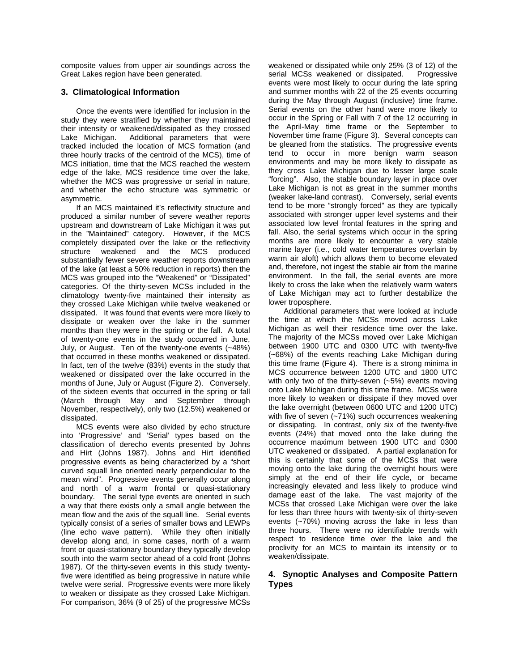composite values from upper air soundings across the Great Lakes region have been generated.

#### **3. Climatological Information**

Once the events were identified for inclusion in the study they were stratified by whether they maintained their intensity or weakened/dissipated as they crossed Lake Michigan. Additional parameters that were tracked included the location of MCS formation (and three hourly tracks of the centroid of the MCS), time of MCS initiation, time that the MCS reached the western edge of the lake, MCS residence time over the lake, whether the MCS was progressive or serial in nature, and whether the echo structure was symmetric or asymmetric.

If an MCS maintained it's reflectivity structure and produced a similar number of severe weather reports upstream and downstream of Lake Michigan it was put in the "Maintained" category. However, if the MCS completely dissipated over the lake or the reflectivity structure weakened and the MCS produced substantially fewer severe weather reports downstream of the lake (at least a 50% reduction in reports) then the MCS was grouped into the "Weakened" or "Dissipated" categories. Of the thirty-seven MCSs included in the climatology twenty-five maintained their intensity as they crossed Lake Michigan while twelve weakened or dissipated. It was found that events were more likely to dissipate or weaken over the lake in the summer months than they were in the spring or the fall. A total of twenty-one events in the study occurred in June, July, or August. Ten of the twenty-one events (~48%) that occurred in these months weakened or dissipated. In fact, ten of the twelve (83%) events in the study that weakened or dissipated over the lake occurred in the months of June, July or August (Figure 2). Conversely, of the sixteen events that occurred in the spring or fall (March through May and September through November, respectively), only two (12.5%) weakened or dissipated.

MCS events were also divided by echo structure into 'Progressive' and 'Serial' types based on the classification of derecho events presented by Johns and Hirt (Johns 1987). Johns and Hirt identified progressive events as being characterized by a "short curved squall line oriented nearly perpendicular to the mean wind". Progressive events generally occur along and north of a warm frontal or quasi-stationary boundary. The serial type events are oriented in such a way that there exists only a small angle between the mean flow and the axis of the squall line. Serial events typically consist of a series of smaller bows and LEWPs (line echo wave pattern). While they often initially develop along and, in some cases, north of a warm front or quasi-stationary boundary they typically develop south into the warm sector ahead of a cold front (Johns 1987). Of the thirty-seven events in this study twentyfive were identified as being progressive in nature while twelve were serial. Progressive events were more likely to weaken or dissipate as they crossed Lake Michigan. For comparison, 36% (9 of 25) of the progressive MCSs weakened or dissipated while only 25% (3 of 12) of the serial MCSs weakened or dissipated. Progressive events were most likely to occur during the late spring and summer months with 22 of the 25 events occurring during the May through August (inclusive) time frame. Serial events on the other hand were more likely to occur in the Spring or Fall with 7 of the 12 occurring in the April-May time frame or the September to November time frame (Figure 3). Several concepts can be gleaned from the statistics. The progressive events tend to occur in more benign warm season environments and may be more likely to dissipate as they cross Lake Michigan due to lesser large scale "forcing". Also, the stable boundary layer in place over Lake Michigan is not as great in the summer months (weaker lake-land contrast). Conversely, serial events tend to be more "strongly forced" as they are typically associated with stronger upper level systems and their associated low level frontal features in the spring and fall. Also, the serial systems which occur in the spring months are more likely to encounter a very stable marine layer (i.e., cold water temperatures overlain by warm air aloft) which allows them to become elevated and, therefore, not ingest the stable air from the marine environment. In the fall, the serial events are more likely to cross the lake when the relatively warm waters of Lake Michigan may act to further destabilize the lower troposphere.

Additional parameters that were looked at include the time at which the MCSs moved across Lake Michigan as well their residence time over the lake. The majority of the MCSs moved over Lake Michigan between 1900 UTC and 0300 UTC with twenty-five (~68%) of the events reaching Lake Michigan during this time frame (Figure 4). There is a strong minima in MCS occurrence between 1200 UTC and 1800 UTC with only two of the thirty-seven (~5%) events moving onto Lake Michigan during this time frame. MCSs were more likely to weaken or dissipate if they moved over the lake overnight (between 0600 UTC and 1200 UTC) with five of seven (~71%) such occurrences weakening or dissipating. In contrast, only six of the twenty-five events (24%) that moved onto the lake during the occurrence maximum between 1900 UTC and 0300 UTC weakened or dissipated. A partial explanation for this is certainly that some of the MCSs that were moving onto the lake during the overnight hours were simply at the end of their life cycle, or became increasingly elevated and less likely to produce wind damage east of the lake. The vast majority of the MCSs that crossed Lake Michigan were over the lake for less than three hours with twenty-six of thirty-seven events (~70%) moving across the lake in less than three hours. There were no identifiable trends with respect to residence time over the lake and the proclivity for an MCS to maintain its intensity or to weaken/dissipate.

## **4. Synoptic Analyses and Composite Pattern Types**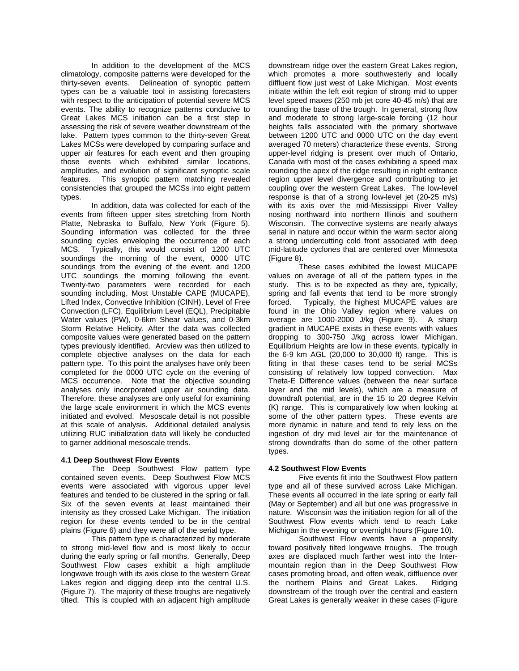In addition to the development of the MCS climatology, composite patterns were developed for the thirty-seven events. Delineation of synoptic pattern types can be a valuable tool in assisting forecasters with respect to the anticipation of potential severe MCS events. The ability to recognize patterns conducive to Great Lakes MCS initiation can be a first step in assessing the risk of severe weather downstream of the lake. Pattern types common to the thirty-seven Great Lakes MCSs were developed by comparing surface and upper air features for each event and then grouping those events which exhibited similar locations, amplitudes, and evolution of significant synoptic scale features. This synoptic pattern matching revealed consistencies that grouped the MCSs into eight pattern types.

 In addition, data was collected for each of the events from fifteen upper sites stretching from North Platte, Nebraska to Buffalo, New York (Figure 5). Sounding information was collected for the three sounding cycles enveloping the occurrence of each MCS. Typically, this would consist of 1200 UTC soundings the morning of the event, 0000 UTC soundings from the evening of the event, and 1200 UTC soundings the morning following the event. Twenty-two parameters were recorded for each sounding including, Most Unstable CAPE (MUCAPE), Lifted Index, Convective Inhibition (CINH), Level of Free Convection (LFC), Equilibrium Level (EQL), Precipitable Water values (PW), 0-6km Shear values, and 0-3km Storm Relative Helicity. After the data was collected composite values were generated based on the pattern types previously identified. Arcview was then utilized to complete objective analyses on the data for each pattern type. To this point the analyses have only been completed for the 0000 UTC cycle on the evening of MCS occurrence. Note that the objective sounding analyses only incorporated upper air sounding data. Therefore, these analyses are only useful for examining the large scale environment in which the MCS events initiated and evolved. Mesoscale detail is not possible at this scale of analysis. Additional detailed analysis utilizing RUC initialization data will likely be conducted to garner additional mesoscale trends.

# **4.1 Deep Southwest Flow Events**

The Deep Southwest Flow pattern type contained seven events.Deep Southwest Flow MCS events were associated with vigorous upper level features and tended to be clustered in the spring or fall. Six of the seven events at least maintained their intensity as they crossed Lake Michigan. The initiation region for these events tended to be in the central plains (Figure 6) and they were all of the serial type.

This pattern type is characterized by moderate to strong mid-level flow and is most likely to occur during the early spring or fall months. Generally, Deep Southwest Flow cases exhibit a high amplitude longwave trough with its axis close to the western Great Lakes region and digging deep into the central U.S. (Figure 7). The majority of these troughs are negatively tilted. This is coupled with an adjacent high amplitude downstream ridge over the eastern Great Lakes region, which promotes a more southwesterly and locally diffluent flow just west of Lake Michigan. Most events initiate within the left exit region of strong mid to upper level speed maxes (250 mb jet core 40-45 m/s) that are rounding the base of the trough. In general, strong flow and moderate to strong large-scale forcing (12 hour heights falls associated with the primary shortwave between 1200 UTC and 0000 UTC on the day event averaged 70 meters) characterize these events. Strong upper-level ridging is present over much of Ontario, Canada with most of the cases exhibiting a speed max rounding the apex of the ridge resulting in right entrance region upper level divergence and contributing to jet coupling over the western Great Lakes. The low-level response is that of a strong low-level jet (20-25 m/s) with its axis over the mid-Mississippi River Valley nosing northward into northern Illinois and southern Wisconsin. The convective systems are nearly always serial in nature and occur within the warm sector along a strong undercutting cold front associated with deep mid-latitude cyclones that are centered over Minnesota (Figure 8).

These cases exhibited the lowest MUCAPE values on average of all of the pattern types in the study. This is to be expected as they are, typically, spring and fall events that tend to be more strongly forced. Typically, the highest MUCAPE values are found in the Ohio Valley region where values on average are 1000-2000 J/kg (Figure 9). A sharp gradient in MUCAPE exists in these events with values dropping to 300-750 J/kg across lower Michigan. Equilibrium Heights are low in these events, typically in the 6-9 km AGL (20,000 to 30,000 ft) range. This is fitting in that these cases tend to be serial MCSs consisting of relatively low topped convection. Max Theta-E Difference values (between the near surface layer and the mid levels), which are a measure of downdraft potential, are in the 15 to 20 degree Kelvin (K) range. This is comparatively low when looking at some of the other pattern types. These events are more dynamic in nature and tend to rely less on the ingestion of dry mid level air for the maintenance of strong downdrafts than do some of the other pattern types.

#### **4.2 Southwest Flow Events**

Five events fit into the Southwest Flow pattern type and all of these survived across Lake Michigan. These events all occurred in the late spring or early fall (May or September) and all but one was progressive in nature. Wisconsin was the initiation region for all of the Southwest Flow events which tend to reach Lake Michigan in the evening or overnight hours (Figure 10).

Southwest Flow events have a propensity toward positively tilted longwave troughs. The trough axes are displaced much farther west into the Intermountain region than in the Deep Southwest Flow cases promoting broad, and often weak, diffluence over the northern Plains and Great Lakes. Ridging downstream of the trough over the central and eastern Great Lakes is generally weaker in these cases (Figure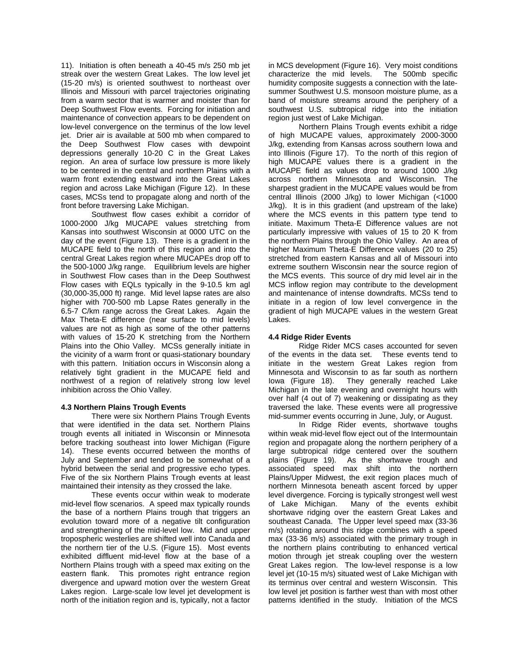11). Initiation is often beneath a 40-45 m/s 250 mb jet streak over the western Great Lakes. The low level jet (15-20 m/s) is oriented southwest to northeast over Illinois and Missouri with parcel trajectories originating from a warm sector that is warmer and moister than for Deep Southwest Flow events. Forcing for initiation and maintenance of convection appears to be dependent on low-level convergence on the terminus of the low level jet. Drier air is available at 500 mb when compared to the Deep Southwest Flow cases with dewpoint depressions generally 10-20 C in the Great Lakes region. An area of surface low pressure is more likely to be centered in the central and northern Plains with a warm front extending eastward into the Great Lakes region and across Lake Michigan (Figure 12). In these cases, MCSs tend to propagate along and north of the front before traversing Lake Michigan.

Southwest flow cases exhibit a corridor of 1000-2000 J/kg MUCAPE values stretching from Kansas into southwest Wisconsin at 0000 UTC on the day of the event (Figure 13). There is a gradient in the MUCAPE field to the north of this region and into the central Great Lakes region where MUCAPEs drop off to the 500-1000 J/kg range. Equilibrium levels are higher in Southwest Flow cases than in the Deep Southwest Flow cases with EQLs typically in the 9-10.5 km agl (30,000-35,000 ft) range. Mid level lapse rates are also higher with 700-500 mb Lapse Rates generally in the 6.5-7 C/km range across the Great Lakes. Again the Max Theta-E difference (near surface to mid levels) values are not as high as some of the other patterns with values of 15-20 K stretching from the Northern Plains into the Ohio Valley. MCSs generally initiate in the vicinity of a warm front or quasi-stationary boundary with this pattern. Initiation occurs in Wisconsin along a relatively tight gradient in the MUCAPE field and northwest of a region of relatively strong low level inhibition across the Ohio Valley.

#### **4.3 Northern Plains Trough Events**

There were six Northern Plains Trough Events that were identified in the data set. Northern Plains trough events all initiated in Wisconsin or Minnesota before tracking southeast into lower Michigan (Figure 14). These events occurred between the months of July and September and tended to be somewhat of a hybrid between the serial and progressive echo types. Five of the six Northern Plains Trough events at least maintained their intensity as they crossed the lake.

These events occur within weak to moderate mid-level flow scenarios. A speed max typically rounds the base of a northern Plains trough that triggers an evolution toward more of a negative tilt configuration and strengthening of the mid-level low. Mid and upper tropospheric westerlies are shifted well into Canada and the northern tier of the U.S. (Figure 15). Most events exhibited diffluent mid-level flow at the base of a Northern Plains trough with a speed max exiting on the eastern flank. This promotes right entrance region divergence and upward motion over the western Great Lakes region. Large-scale low level jet development is north of the initiation region and is, typically, not a factor in MCS development (Figure 16). Very moist conditions characterize the mid levels. humidity composite suggests a connection with the latesummer Southwest U.S. monsoon moisture plume, as a band of moisture streams around the periphery of a southwest U.S. subtropical ridge into the initiation region just west of Lake Michigan.

Northern Plains Trough events exhibit a ridge of high MUCAPE values, approximately 2000-3000 J/kg, extending from Kansas across southern Iowa and into Illinois (Figure 17). To the north of this region of high MUCAPE values there is a gradient in the MUCAPE field as values drop to around 1000 J/kg across northern Minnesota and Wisconsin. The sharpest gradient in the MUCAPE values would be from central Illinois (2000 J/kg) to lower Michigan (<1000 J/kg). It is in this gradient (and upstream of the lake) where the MCS events in this pattern type tend to initiate. Maximum Theta-E Difference values are not particularly impressive with values of 15 to 20 K from the northern Plains through the Ohio Valley. An area of higher Maximum Theta-E Difference values (20 to 25) stretched from eastern Kansas and all of Missouri into extreme southern Wisconsin near the source region of the MCS events. This source of dry mid level air in the MCS inflow region may contribute to the development and maintenance of intense downdrafts. MCSs tend to initiate in a region of low level convergence in the gradient of high MUCAPE values in the western Great Lakes.

#### **4.4 Ridge Rider Events**

Ridge Rider MCS cases accounted for seven of the events in the data set. These events tend to initiate in the western Great Lakes region from Minnesota and Wisconsin to as far south as northern<br>lowa (Figure 18). They generally reached Lake They generally reached Lake Michigan in the late evening and overnight hours with over half (4 out of 7) weakening or dissipating as they traversed the lake. These events were all progressive mid-summer events occurring in June, July, or August.

In Ridge Rider events, shortwave toughs within weak mid-level flow eject out of the Intermountain region and propagate along the northern periphery of a large subtropical ridge centered over the southern plains (Figure 19). As the shortwave trough and associated speed max shift into the northern Plains/Upper Midwest, the exit region places much of northern Minnesota beneath ascent forced by upper level divergence. Forcing is typically strongest well west of Lake Michigan. Many of the events exhibit shortwave ridging over the eastern Great Lakes and southeast Canada. The Upper level speed max (33-36 m/s) rotating around this ridge combines with a speed max (33-36 m/s) associated with the primary trough in the northern plains contributing to enhanced vertical motion through jet streak coupling over the western Great Lakes region. The low-level response is a low level jet (10-15 m/s) situated west of Lake Michigan with its terminus over central and western Wisconsin. This low level jet position is farther west than with most other patterns identified in the study. Initiation of the MCS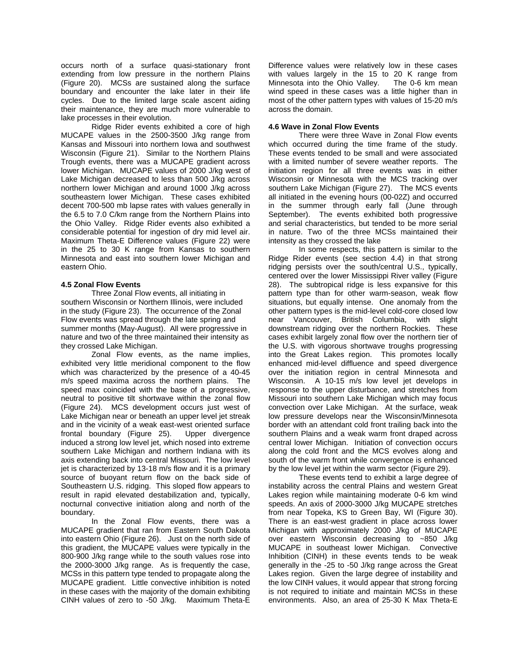occurs north of a surface quasi-stationary front extending from low pressure in the northern Plains (Figure 20). MCSs are sustained along the surface boundary and encounter the lake later in their life cycles. Due to the limited large scale ascent aiding their maintenance, they are much more vulnerable to lake processes in their evolution.

Ridge Rider events exhibited a core of high MUCAPE values in the 2500-3500 J/kg range from Kansas and Missouri into northern Iowa and southwest Wisconsin (Figure 21). Similar to the Northern Plains Trough events, there was a MUCAPE gradient across lower Michigan. MUCAPE values of 2000 J/kg west of Lake Michigan decreased to less than 500 J/kg across northern lower Michigan and around 1000 J/kg across southeastern lower Michigan. These cases exhibited decent 700-500 mb lapse rates with values generally in the 6.5 to 7.0 C/km range from the Northern Plains into the Ohio Valley. Ridge Rider events also exhibited a considerable potential for ingestion of dry mid level air. Maximum Theta-E Difference values (Figure 22) were in the 25 to 30 K range from Kansas to southern Minnesota and east into southern lower Michigan and eastern Ohio.

#### **4.5 Zonal Flow Events**

Three Zonal Flow events, all initiating in southern Wisconsin or Northern Illinois, were included in the study (Figure 23). The occurrence of the Zonal Flow events was spread through the late spring and summer months (May-August). All were progressive in nature and two of the three maintained their intensity as they crossed Lake Michigan.

Zonal Flow events, as the name implies, exhibited very little meridional component to the flow which was characterized by the presence of a 40-45 m/s speed maxima across the northern plains. The speed max coincided with the base of a progressive, neutral to positive tilt shortwave within the zonal flow (Figure 24). MCS development occurs just west of Lake Michigan near or beneath an upper level jet streak and in the vicinity of a weak east-west oriented surface frontal boundary (Figure 25). Upper divergence induced a strong low level jet, which nosed into extreme southern Lake Michigan and northern Indiana with its axis extending back into central Missouri. The low level jet is characterized by 13-18 m/s flow and it is a primary source of buoyant return flow on the back side of Southeastern U.S. ridging. This sloped flow appears to result in rapid elevated destabilization and, typically, nocturnal convective initiation along and north of the boundary.

In the Zonal Flow events, there was a MUCAPE gradient that ran from Eastern South Dakota into eastern Ohio (Figure 26). Just on the north side of this gradient, the MUCAPE values were typically in the 800-900 J/kg range while to the south values rose into the 2000-3000 J/kg range. As is frequently the case, MCSs in this pattern type tended to propagate along the MUCAPE gradient. Little convective inhibition is noted in these cases with the majority of the domain exhibiting CINH values of zero to -50 J/kg. Maximum Theta-E Difference values were relatively low in these cases with values largely in the 15 to 20 K range from<br>Minnesota into the Ohio Valley. The 0-6 km mean Minnesota into the Ohio Valley. wind speed in these cases was a little higher than in most of the other pattern types with values of 15-20 m/s across the domain.

#### **4.6 Wave in Zonal Flow Events**

There were three Wave in Zonal Flow events which occurred during the time frame of the study. These events tended to be small and were associated with a limited number of severe weather reports. The initiation region for all three events was in either Wisconsin or Minnesota with the MCS tracking over southern Lake Michigan (Figure 27). The MCS events all initiated in the evening hours (00-02Z) and occurred in the summer through early fall (June through September). The events exhibited both progressive and serial characteristics, but tended to be more serial in nature. Two of the three MCSs maintained their intensity as they crossed the lake

In some respects, this pattern is similar to the Ridge Rider events (see section 4.4) in that strong ridging persists over the south/central U.S., typically, centered over the lower Mississippi River valley (Figure 28). The subtropical ridge is less expansive for this pattern type than for other warm-season, weak flow situations, but equally intense. One anomaly from the other pattern types is the mid-level cold-core closed low near Vancouver, British Columbia, with slight downstream ridging over the northern Rockies. These cases exhibit largely zonal flow over the northern tier of the U.S. with vigorous shortwave troughs progressing into the Great Lakes region. This promotes locally enhanced mid-level diffluence and speed divergence over the initiation region in central Minnesota and Wisconsin. A 10-15 m/s low level jet develops in response to the upper disturbance, and stretches from Missouri into southern Lake Michigan which may focus convection over Lake Michigan. At the surface, weak low pressure develops near the Wisconsin/Minnesota border with an attendant cold front trailing back into the southern Plains and a weak warm front draped across central lower Michigan. Initiation of convection occurs along the cold front and the MCS evolves along and south of the warm front while convergence is enhanced by the low level jet within the warm sector (Figure 29).

These events tend to exhibit a large degree of instability across the central Plains and western Great Lakes region while maintaining moderate 0-6 km wind speeds. An axis of 2000-3000 J/kg MUCAPE stretches from near Topeka, KS to Green Bay, WI (Figure 30). There is an east-west gradient in place across lower Michigan with approximately 2000 J/kg of MUCAPE over eastern Wisconsin decreasing to ~850 J/kg MUCAPE in southeast lower Michigan. Convective Inhibition (CINH) in these events tends to be weak generally in the -25 to -50 J/kg range across the Great Lakes region. Given the large degree of instability and the low CINH values, it would appear that strong forcing is not required to initiate and maintain MCSs in these environments. Also, an area of 25-30 K Max Theta-E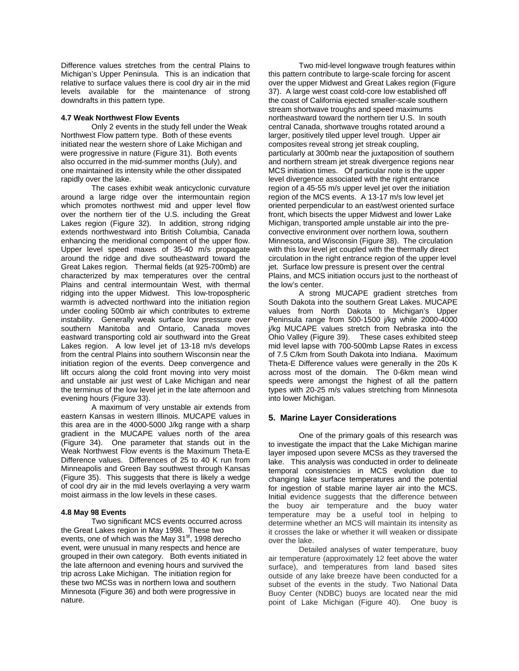Difference values stretches from the central Plains to Michigan's Upper Peninsula. This is an indication that relative to surface values there is cool dry air in the mid levels available for the maintenance of strong downdrafts in this pattern type.

#### **4.7 Weak Northwest Flow Events**

Only 2 events in the study fell under the Weak Northwest Flow pattern type. Both of these events initiated near the western shore of Lake Michigan and were progressive in nature (Figure 31). Both events also occurred in the mid-summer months (July), and one maintained its intensity while the other dissipated rapidly over the lake.

The cases exhibit weak anticyclonic curvature around a large ridge over the intermountain region which promotes northwest mid and upper level flow over the northern tier of the U.S. including the Great Lakes region (Figure 32). In addition, strong ridging extends northwestward into British Columbia, Canada enhancing the meridional component of the upper flow. Upper level speed maxes of 35-40 m/s propagate around the ridge and dive southeastward toward the Great Lakes region. Thermal fields (at 925-700mb) are characterized by max temperatures over the central Plains and central intermountain West, with thermal ridging into the upper Midwest. This low-tropospheric warmth is advected northward into the initiation region under cooling 500mb air which contributes to extreme instability. Generally weak surface low pressure over southern Manitoba and Ontario, Canada moves eastward transporting cold air southward into the Great Lakes region. A low level jet of 13-18 m/s develops from the central Plains into southern Wisconsin near the initiation region of the events. Deep convergence and lift occurs along the cold front moving into very moist and unstable air just west of Lake Michigan and near the terminus of the low level jet in the late afternoon and evening hours (Figure 33).

A maximum of very unstable air extends from eastern Kansas in western Illinois. MUCAPE values in this area are in the 4000-5000 J/kg range with a sharp gradient in the MUCAPE values north of the area (Figure 34). One parameter that stands out in the Weak Northwest Flow events is the Maximum Theta-E Difference values. Differences of 25 to 40 K run from Minneapolis and Green Bay southwest through Kansas (Figure 35). This suggests that there is likely a wedge of cool dry air in the mid levels overlaying a very warm moist airmass in the low levels in these cases.

#### **4.8 May 98 Events**

Two significant MCS events occurred across the Great Lakes region in May 1998. These two events, one of which was the May  $31<sup>st</sup>$ , 1998 derecho event, were unusual in many respects and hence are grouped in their own category. Both events initiated in the late afternoon and evening hours and survived the trip across Lake Michigan. The initiation region for these two MCSs was in northern Iowa and southern Minnesota (Figure 36) and both were progressive in nature.

Two mid-level longwave trough features within this pattern contribute to large-scale forcing for ascent over the upper Midwest and Great Lakes region (Figure 37). A large west coast cold-core low established off the coast of California ejected smaller-scale southern stream shortwave troughs and speed maximums northeastward toward the northern tier U.S. In south central Canada, shortwave troughs rotated around a larger, positively tiled upper level trough. Upper air composites reveal strong jet streak coupling, particularly at 300mb near the juxtaposition of southern and northern stream jet streak divergence regions near MCS initiation times. Of particular note is the upper level divergence associated with the right entrance region of a 45-55 m/s upper level jet over the initiation region of the MCS events. A 13-17 m/s low level jet oriented perpendicular to an east/west oriented surface front, which bisects the upper Midwest and lower Lake Michigan, transported ample unstable air into the preconvective environment over northern Iowa, southern Minnesota, and Wisconsin (Figure 38). The circulation with this low level jet coupled with the thermally direct circulation in the right entrance region of the upper level jet. Surface low pressure is present over the central Plains, and MCS initiation occurs just to the northeast of the low's center.

A strong MUCAPE gradient stretches from South Dakota into the southern Great Lakes. MUCAPE values from North Dakota to Michigan's Upper Peninsula range from 500-1500 j/kg while 2000-4000 j/kg MUCAPE values stretch from Nebraska into the Ohio Valley (Figure 39). These cases exhibited steep mid level lapse with 700-500mb Lapse Rates in excess of 7.5 C/km from South Dakota into Indiana. Maximum Theta-E Difference values were generally in the 20s K across most of the domain. The 0-6km mean wind speeds were amongst the highest of all the pattern types with 20-25 m/s values stretching from Minnesota into lower Michigan.

# **5. Marine Layer Considerations**

One of the primary goals of this research was to investigate the impact that the Lake Michigan marine layer imposed upon severe MCSs as they traversed the lake. This analysis was conducted in order to delineate temporal consistencies in MCS evolution due to changing lake surface temperatures and the potential for ingestion of stable marine layer air into the MCS. Initial evidence suggests that the difference between the buoy air temperature and the buoy water temperature may be a useful tool in helping to determine whether an MCS will maintain its intensity as it crosses the lake or whether it will weaken or dissipate over the lake.

Detailed analyses of water temperature, buoy air temperature (approximately 12 feet above the water surface), and temperatures from land based sites outside of any lake breeze have been conducted for a subset of the events in the study. Two National Data Buoy Center (NDBC) buoys are located near the mid point of Lake Michigan (Figure 40). One buoy is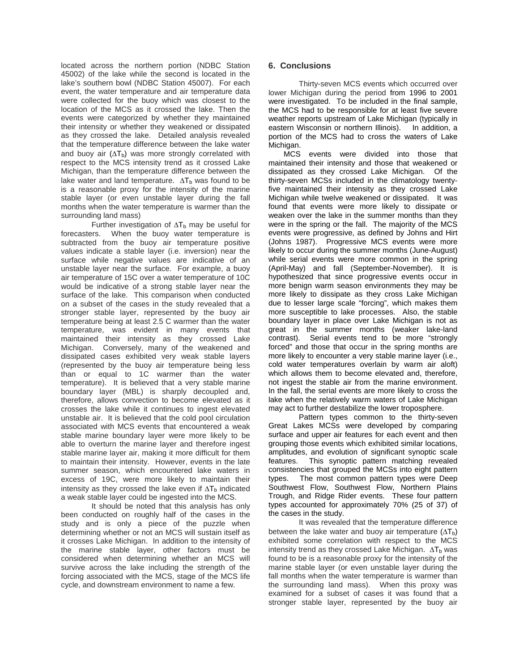located across the northern portion (NDBC Station 45002) of the lake while the second is located in the lake's southern bowl (NDBC Station 45007). For each event, the water temperature and air temperature data were collected for the buoy which was closest to the location of the MCS as it crossed the lake. Then the events were categorized by whether they maintained their intensity or whether they weakened or dissipated as they crossed the lake. Detailed analysis revealed that the temperature difference between the lake water and buoy air  $(\Delta T_b)$  was more strongly correlated with respect to the MCS intensity trend as it crossed Lake Michigan, than the temperature difference between the lake water and land temperature.  $\Delta T_b$  was found to be is a reasonable proxy for the intensity of the marine stable layer (or even unstable layer during the fall months when the water temperature is warmer than the surrounding land mass)

Further investigation of  $\Delta T_b$  may be useful for forecasters. When the buoy water temperature is subtracted from the buoy air temperature positive values indicate a stable layer (i.e. inversion) near the surface while negative values are indicative of an unstable layer near the surface. For example, a buoy air temperature of 15C over a water temperature of 10C would be indicative of a strong stable layer near the surface of the lake. This comparison when conducted on a subset of the cases in the study revealed that a stronger stable layer, represented by the buoy air temperature being at least 2.5 C warmer than the water temperature, was evident in many events that maintained their intensity as they crossed Lake Michigan. Conversely, many of the weakened and dissipated cases exhibited very weak stable layers (represented by the buoy air temperature being less than or equal to 1C warmer than the water temperature). It is believed that a very stable marine boundary layer (MBL) is sharply decoupled and, therefore, allows convection to become elevated as it crosses the lake while it continues to ingest elevated unstable air. It is believed that the cold pool circulation associated with MCS events that encountered a weak stable marine boundary layer were more likely to be able to overturn the marine layer and therefore ingest stable marine layer air, making it more difficult for them to maintain their intensity. However, events in the late summer season, which encountered lake waters in excess of 19C, were more likely to maintain their intensity as they crossed the lake even if  $\Delta T_b$  indicated a weak stable layer could be ingested into the MCS.

It should be noted that this analysis has only been conducted on roughly half of the cases in the study and is only a piece of the puzzle when determining whether or not an MCS will sustain itself as it crosses Lake Michigan. In addition to the intensity of the marine stable layer, other factors must be considered when determining whether an MCS will survive across the lake including the strength of the forcing associated with the MCS, stage of the MCS life cycle, and downstream environment to name a few.

# **6. Conclusions**

 Thirty-seven MCS events which occurred over lower Michigan during the period from 1996 to 2001 were investigated. To be included in the final sample, the MCS had to be responsible for at least five severe weather reports upstream of Lake Michigan (typically in eastern Wisconsin or northern Illinois). In addition, a portion of the MCS had to cross the waters of Lake Michigan.

MCS events were divided into those that maintained their intensity and those that weakened or dissipated as they crossed Lake Michigan. Of the thirty-seven MCSs included in the climatology twentyfive maintained their intensity as they crossed Lake Michigan while twelve weakened or dissipated. It was found that events were more likely to dissipate or weaken over the lake in the summer months than they were in the spring or the fall. The majority of the MCS events were progressive, as defined by Johns and Hirt (Johns 1987). Progressive MCS events were more likely to occur during the summer months (June-August) while serial events were more common in the spring (April-May) and fall (September-November). It is hypothesized that since progressive events occur in more benign warm season environments they may be more likely to dissipate as they cross Lake Michigan due to lesser large scale "forcing", which makes them more susceptible to lake processes. Also, the stable boundary layer in place over Lake Michigan is not as great in the summer months (weaker lake-land contrast). Serial events tend to be more "strongly forced" and those that occur in the spring months are more likely to encounter a very stable marine layer (i.e., cold water temperatures overlain by warm air aloft) which allows them to become elevated and, therefore, not ingest the stable air from the marine environment. In the fall, the serial events are more likely to cross the lake when the relatively warm waters of Lake Michigan may act to further destabilize the lower troposphere.

Pattern types common to the thirty-seven Great Lakes MCSs were developed by comparing surface and upper air features for each event and then grouping those events which exhibited similar locations, amplitudes, and evolution of significant synoptic scale features. This synoptic pattern matching revealed consistencies that grouped the MCSs into eight pattern types. The most common pattern types were Deep Southwest Flow, Southwest Flow, Northern Plains Trough, and Ridge Rider events. These four pattern types accounted for approximately 70% (25 of 37) of the cases in the study.

It was revealed that the temperature difference between the lake water and buoy air temperature  $(\Delta T_b)$ exhibited some correlation with respect to the MCS intensity trend as they crossed Lake Michigan.  $\Delta T_b$  was found to be is a reasonable proxy for the intensity of the marine stable layer (or even unstable layer during the fall months when the water temperature is warmer than the surrounding land mass). When this proxy was examined for a subset of cases it was found that a stronger stable layer, represented by the buoy air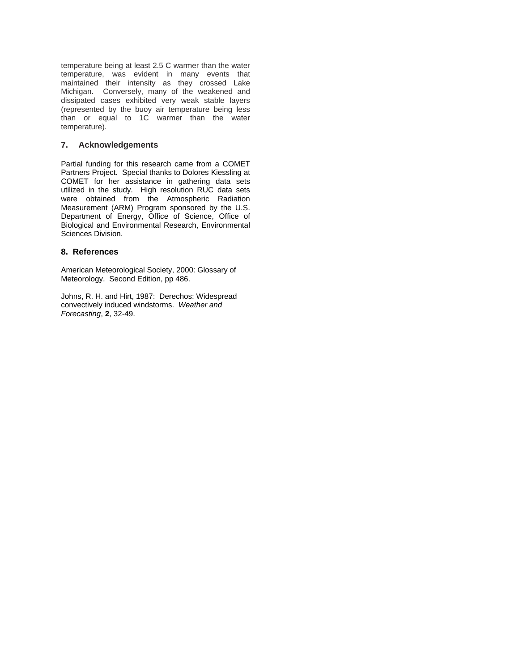temperature being at least 2.5 C warmer than the water temperature, was evident in many events that maintained their intensity as they crossed Lake Michigan. Conversely, many of the weakened and dissipated cases exhibited very weak stable layers (represented by the buoy air temperature being less than or equal to 1C warmer than the water temperature).

# **7. Acknowledgements**

Partial funding for this research came from a COMET Partners Project. Special thanks to Dolores Kiessling at COMET for her assistance in gathering data sets utilized in the study. High resolution RUC data sets were obtained from the Atmospheric Radiation Measurement (ARM) Program sponsored by the U.S. Department of Energy, Office of Science, Office of Biological and Environmental Research, Environmental Sciences Division.

## **8. References**

American Meteorological Society, 2000: Glossary of Meteorology. Second Edition, pp 486.

Johns, R. H. and Hirt, 1987: Derechos: Widespread convectively induced windstorms. *Weather and Forecasting*, **2**, 32-49.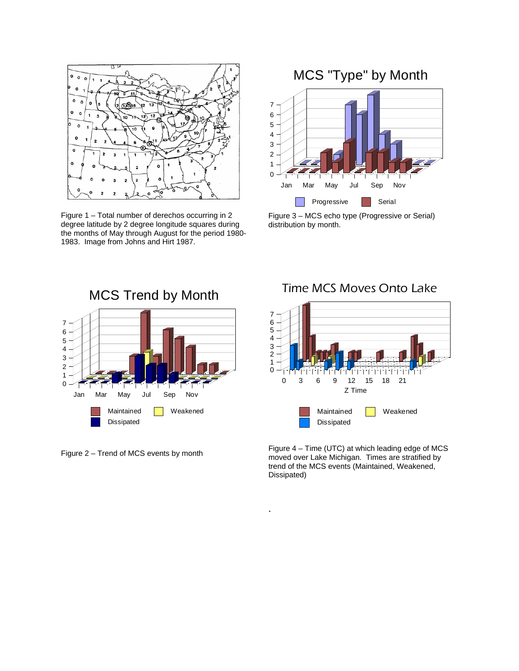

Figure 1 – Total number of derechos occurring in 2 degree latitude by 2 degree longitude squares during the months of May through August for the period 1980- 1983. Image from Johns and Hirt 1987.

# MCS "Type" by Month



Figure 3 – MCS echo type (Progressive or Serial) distribution by month.



Figure 2 – Trend of MCS events by month

Time MCS Moves Onto Lake



Figure 4 – Time (UTC) at which leading edge of MCS moved over Lake Michigan. Times are stratified by trend of the MCS events (Maintained, Weakened, Dissipated)

.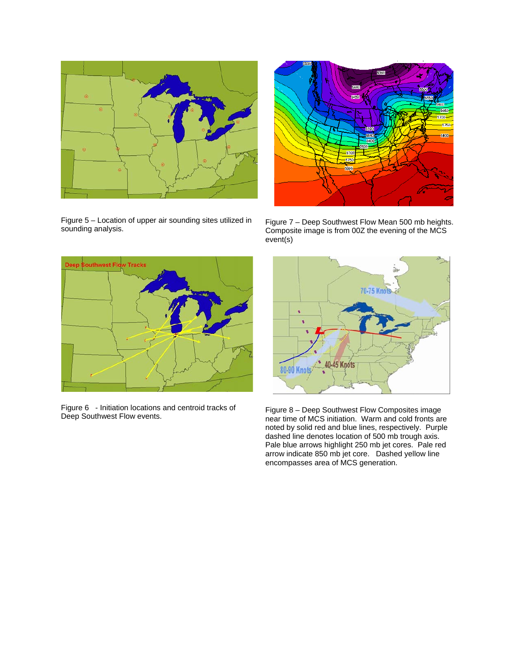

Figure 5 – Location of upper air sounding sites utilized in



Figure 7 – Deep Southwest Flow Mean 500 mb heights. Composite image is from 00Z the evening of the MCS event(s)



Figure 6 - Initiation locations and centroid tracks of



Figure 8 – Deep Southwest Flow Composites image near time of MCS initiation. Warm and cold fronts are noted by solid red and blue lines, respectively. Purple dashed line denotes location of 500 mb trough axis. Pale blue arrows highlight 250 mb jet cores. Pale red arrow indicate 850 mb jet core. Dashed yellow line encompasses area of MCS generation.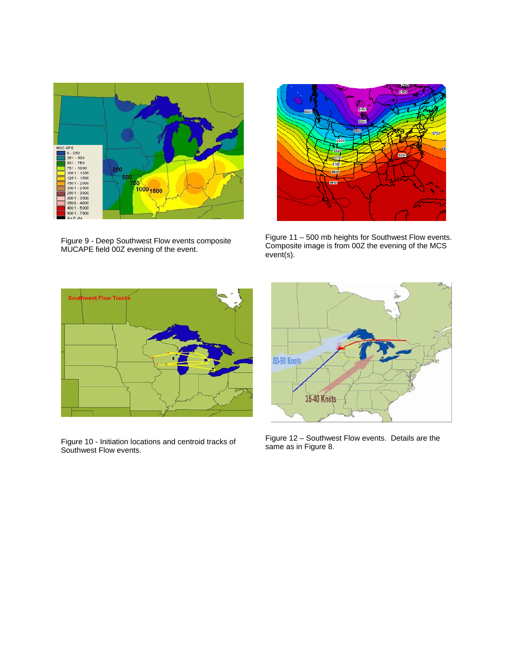

Figure 9 - Deep Southwest Flow events composite MUCAPE field 00Z evening of the event.



Figure 11 – 500 mb heights for Southwest Flow events. Composite image is from 00Z the evening of the MCS event(s).



Figure 10 - Initiation locations and centroid tracks of Southwest Flow events.



Figure 12 – Southwest Flow events. Details are the same as in Figure 8.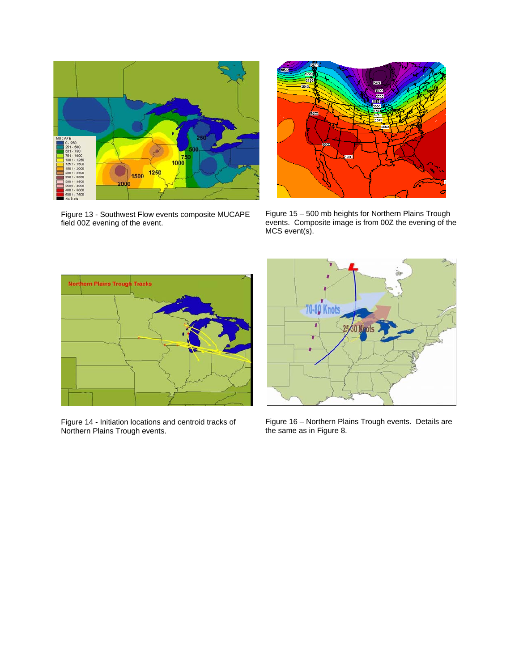

Figure 13 - Southwest Flow events composite MUCAPE field 00Z evening of the event.



Figure 15 – 500 mb heights for Northern Plains Trough events. Composite image is from 00Z the evening of the MCS event(s).



Figure 14 - Initiation locations and centroid tracks of Northern Plains Trough events.



Figure 16 – Northern Plains Trough events. Details are the same as in Figure 8.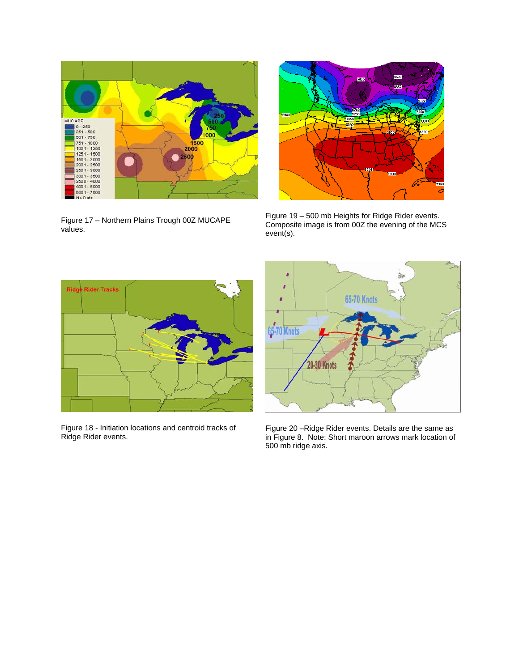

Figure 17 – Northern Plains Trough 00Z MUCAPE values.



Figure 19 – 500 mb Heights for Ridge Rider events. Composite image is from 00Z the evening of the MCS event(s).



Figure 18 - Initiation locations and centroid tracks of Ridge Rider events.



Figure 20 –Ridge Rider events. Details are the same as in Figure 8. Note: Short maroon arrows mark location of 500 mb ridge axis.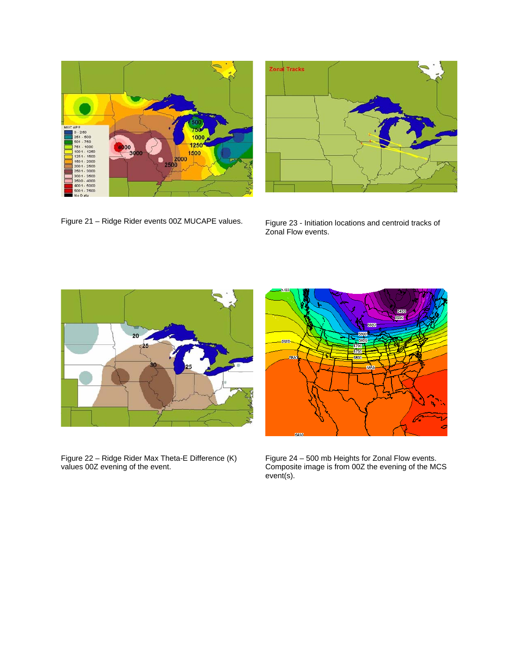



Figure 21 – Ridge Rider events 00Z MUCAPE values.

Figure 23 - Initiation locations and centroid tracks of Zonal Flow events.



Figure 22 – Ridge Rider Max Theta-E Difference (K) values 00Z evening of the event.



Figure 24 – 500 mb Heights for Zonal Flow events. Composite image is from 00Z the evening of the MCS event(s).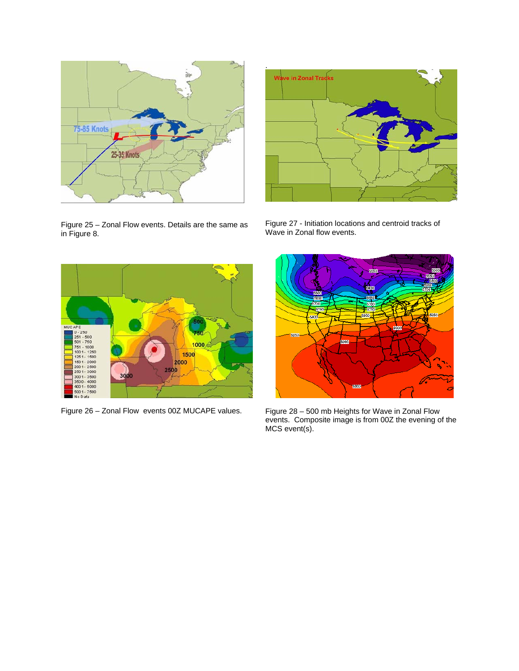

Figure 25 – Zonal Flow events. Details are the same as in Figure 8.



Figure 27 - Initiation locations and centroid tracks of Wave in Zonal flow events.





Figure 28 – 500 mb Heights for Wave in Zonal Flow events. Composite image is from 00Z the evening of the MCS event(s).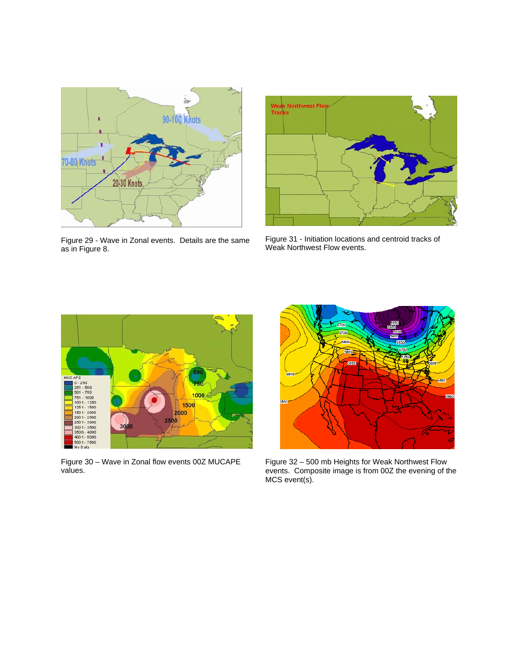



Figure 29 - Wave in Zonal events. Details are the same as in Figure 8.

Figure 31 - Initiation locations and centroid tracks of Weak Northwest Flow events.



Figure 30 – Wave in Zonal flow events 00Z MUCAPE values.



Figure 32 – 500 mb Heights for Weak Northwest Flow events. Composite image is from 00Z the evening of the MCS event(s).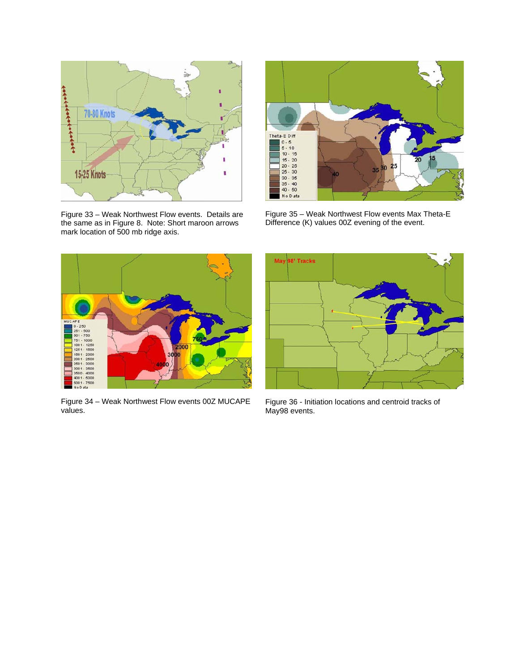

Figure 33 – Weak Northwest Flow events. Details are the same as in Figure 8. Note: Short maroon arrows mark location of 500 mb ridge axis.



Figure 35 – Weak Northwest Flow events Max Theta-E Difference (K) values 00Z evening of the event.



Figure 34 – Weak Northwest Flow events 00Z MUCAPE values.



Figure 36 - Initiation locations and centroid tracks of May98 events.